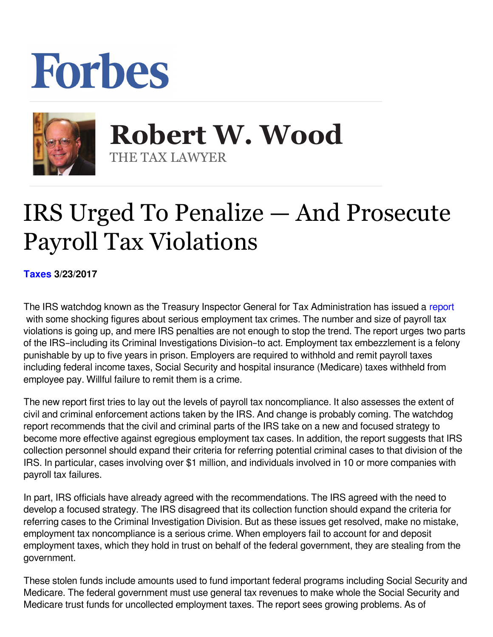## Forbes



**Robert W. Wood Robert W. Wood** THE TAX LAWYER THE TAX LAWYER

## IRS Urged To Penalize — And Prosecute Payroll Tax Violations

**[Taxes](https://www.forbes.com/taxes) 3/23/2017**

The IRS watchdog known as the Treasury Inspector General for Tax Administration has issued a [report](https://www.treasury.gov/tigta/iereports/2017reports/2017IER004fr.pdf) with some shocking figures about serious employment tax crimes. The number and size of payroll tax violations is going up, and mere IRS penalties are not enough to stop the trend. The report urges two parts of the IRS–including its Criminal Investigations Division–to act. Employment tax embezzlement is a felony punishable by up to five years in prison. Employers are required to withhold and remit payroll taxes including federal income taxes, Social Security and hospital insurance (Medicare) taxes withheld from employee pay. Willful failure to remit them is a crime.

The new report first tries to lay out the levels of payroll tax noncompliance. It also assesses the extent of civil and criminal enforcement actions taken by the IRS. And change is probably coming. The watchdog report recommends that the civil and criminal parts of the IRS take on a new and focused strategy to become more effective against egregious employment tax cases. In addition, the report suggests that IRS collection personnel should expand their criteria for referring potential criminal cases to that division of the IRS. In particular, cases involving over \$1 million, and individuals involved in 10 or more companies with payroll tax failures.

In part, IRS officials have already agreed with the recommendations. The IRS agreed with the need to develop a focused strategy. The IRS disagreed that its collection function should expand the criteria for referring cases to the Criminal Investigation Division. But as these issues get resolved, make no mistake, employment tax noncompliance is a serious crime. When employers fail to account for and deposit employment taxes, which they hold in trust on behalf of the federal government, they are stealing from the government.

These stolen funds include amounts used to fund important federal programs including Social Security and Medicare. The federal government must use general tax revenues to make whole the Social Security and Medicare trust funds for uncollected employment taxes. The report sees growing problems. As of